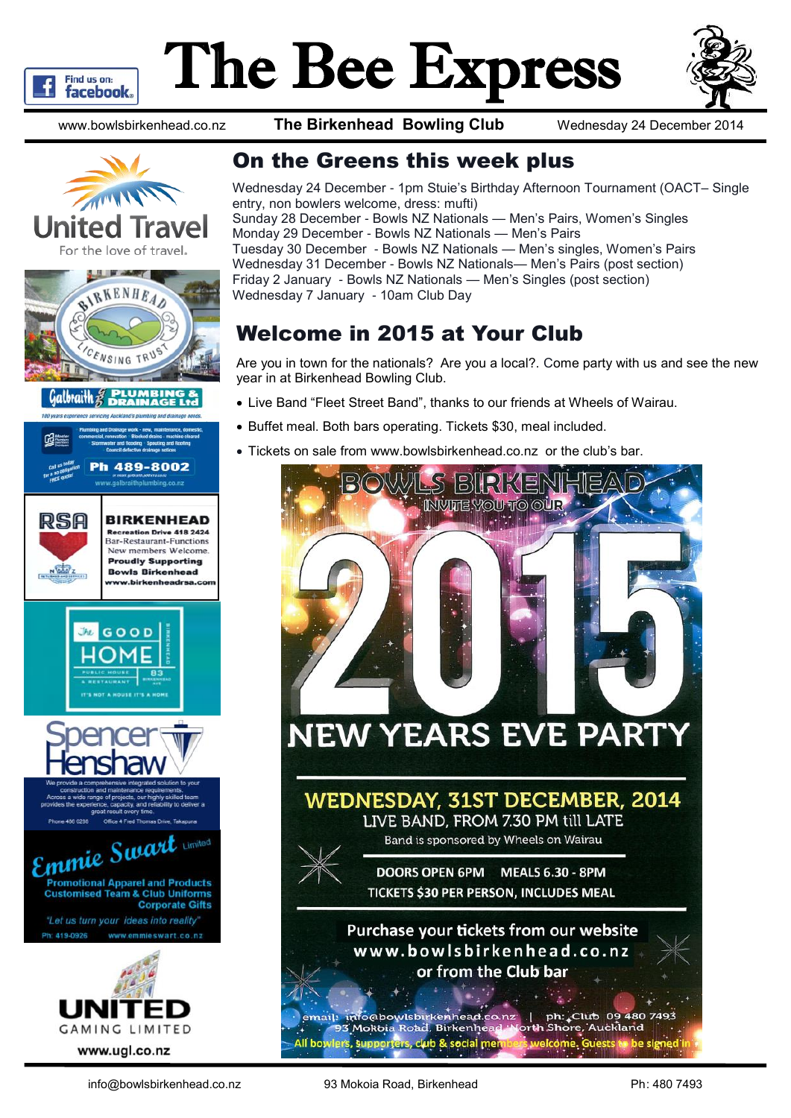

# The Bee Express



www.bowlsbirkenhead.co.nz **The Birkenhead Bowling Club** Wednesday 24 December 2014







489-8002









#### On the Greens this week plus

Wednesday 24 December - 1pm Stuie's Birthday Afternoon Tournament (OACT– Single entry, non bowlers welcome, dress: mufti) Sunday 28 December - Bowls NZ Nationals — Men's Pairs, Women's Singles Monday 29 December - Bowls NZ Nationals — Men's Pairs Tuesday 30 December - Bowls NZ Nationals — Men's singles, Women's Pairs Wednesday 31 December - Bowls NZ Nationals— Men's Pairs (post section) Friday 2 January - Bowls NZ Nationals — Men's Singles (post section) Wednesday 7 January - 10am Club Day

#### Welcome in 2015 at Your Club

Are you in town for the nationals? Are you a local?. Come party with us and see the new year in at Birkenhead Bowling Club.

- Live Band "Fleet Street Band", thanks to our friends at Wheels of Wairau.
- Buffet meal. Both bars operating. Tickets \$30, meal included.
- Tickets on sale from www.bowlsbirkenhead.co.nz or the club's bar.

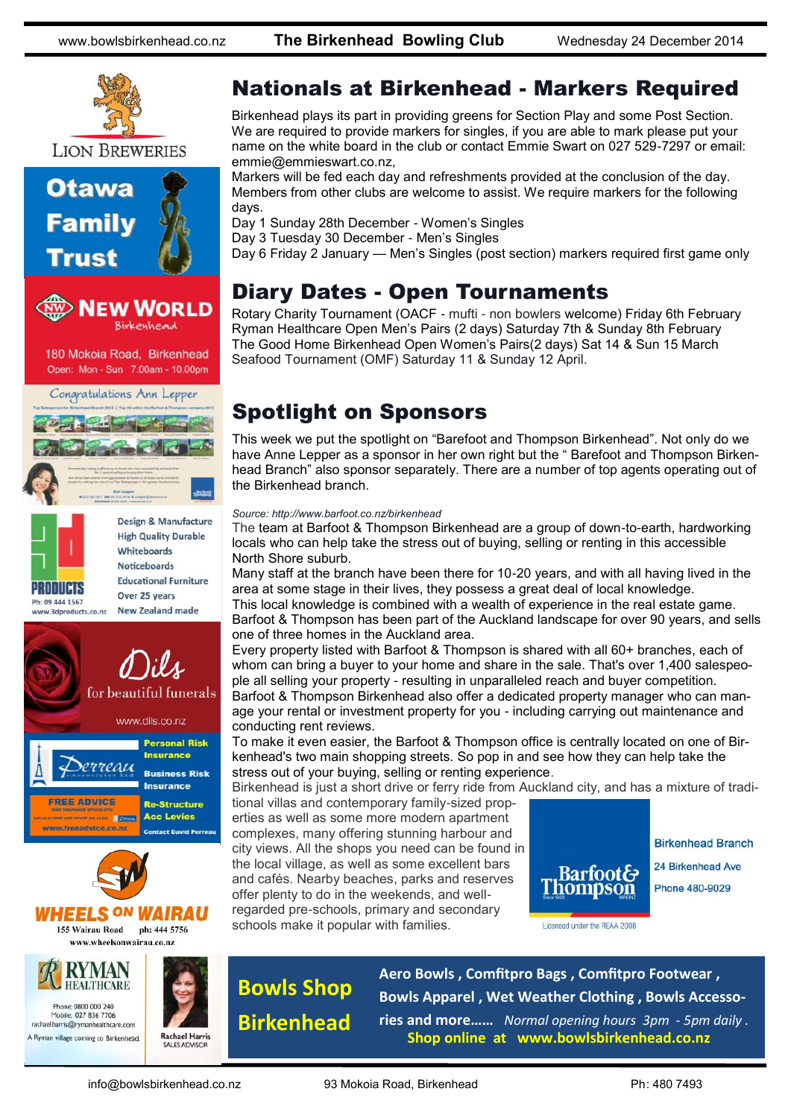www.bowlsbirkenhead.co.nz **The Birkenhead Bowling Club** Wednesday 24 December 2014



**LION BREWERIES** 







**Noticeboards Educational Furniture** Over 25 years **New Zealand made** 







#### *VHEELS ON WAIRAU* 155 Wairau Road ph: 444 5756 www.wheelsonwairau.co.nz

**RYMAN HEALTHCARE** ne: 0800 000 240 Mobile: 027 836 7706 rachael.harris@rymanhealthcare.con A Ryman village coming to Birkenhead



#### Nationals at Birkenhead - Markers Required

Birkenhead plays its part in providing greens for Section Play and some Post Section. We are required to provide markers for singles, if you are able to mark please put your name on the white board in the club or contact Emmie Swart on 027 529-7297 or email: emmie@emmieswart.co.nz,

Markers will be fed each day and refreshments provided at the conclusion of the day. Members from other clubs are welcome to assist. We require markers for the following days.

Day 1 Sunday 28th December - Women's Singles

Day 3 Tuesday 30 December - Men's Singles

Day 6 Friday 2 January — Men's Singles (post section) markers required first game only

#### Diary Dates - Open Tournaments

Rotary Charity Tournament (OACF - mufti - non bowlers welcome) Friday 6th February Ryman Healthcare Open Men's Pairs (2 days) Saturday 7th & Sunday 8th February The Good Home Birkenhead Open Women's Pairs(2 days) Sat 14 & Sun 15 March Seafood Tournament (OMF) Saturday 11 & Sunday 12 April.

#### Spotlight on Sponsors

This week we put the spotlight on "Barefoot and Thompson Birkenhead". Not only do we have Anne Lepper as a sponsor in her own right but the " Barefoot and Thompson Birkenhead Branch" also sponsor separately. There are a number of top agents operating out of the Birkenhead branch.

#### *Source: http://www.barfoot.co.nz/birkenhead*

The team at Barfoot & Thompson Birkenhead are a group of down-to-earth, hardworking locals who can help take the stress out of buying, selling or renting in this accessible North Shore suburb.

Many staff at the branch have been there for 10-20 years, and with all having lived in the area at some stage in their lives, they possess a great deal of local knowledge. This local knowledge is combined with a wealth of experience in the real estate game.

Barfoot & Thompson has been part of the Auckland landscape for over 90 years, and sells one of three homes in the Auckland area.

Every property listed with Barfoot & Thompson is shared with all 60+ branches, each of whom can bring a buyer to your home and share in the sale. That's over 1,400 salespeople all selling your property - resulting in unparalleled reach and buyer competition.

Barfoot & Thompson Birkenhead also offer a dedicated property manager who can manage your rental or investment property for you - including carrying out maintenance and conducting rent reviews.

To make it even easier, the Barfoot & Thompson office is centrally located on one of Birkenhead's two main shopping streets. So pop in and see how they can help take the stress out of your buying, selling or renting experience.

Birkenhead is just a short drive or ferry ride from Auckland city, and has a mixture of tradi-

tional villas and contemporary family-sized properties as well as some more modern apartment complexes, many offering stunning harbour and city views. All the shops you need can be found in the local village, as well as some excellent bars and cafés. Nearby beaches, parks and reserves offer plenty to do in the weekends, and wellregarded pre-schools, primary and secondary schools make it popular with families.



**Birkenhead Branch** 24 Birkenhead Ave **Phone 480-9029** 

Licensed under the REAA 2008

**Bowls Shop Birkenhead**

**Aero Bowls , Comfitpro Bags , Comfitpro Footwear , Bowls Apparel , Wet Weather Clothing , Bowls Accessories and more……** *Normal opening hours 3pm - 5pm daily .* **Shop online at www.bowlsbirkenhead.co.nz**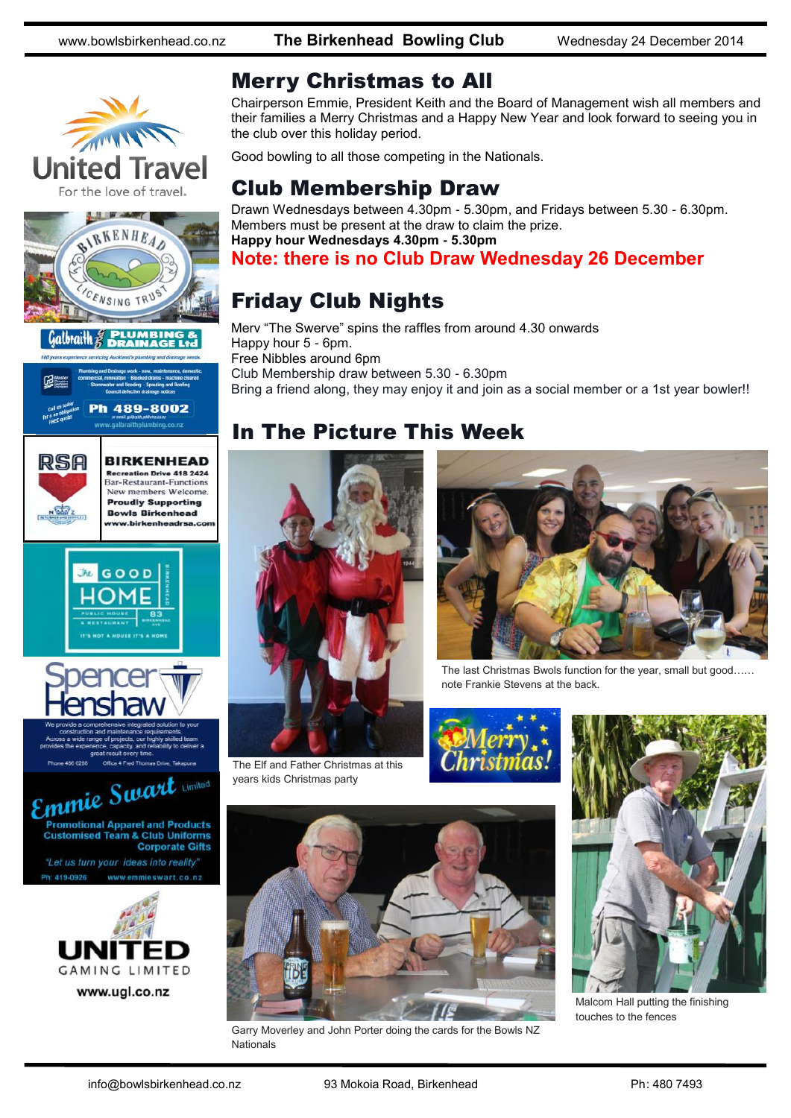www.bowlsbirkenhead.co.nz **The Birkenhead Bowling Club** Wednesday 24 December 2014











**BIRKENHEAD** eation Drive 418 2424 **Bar-Restaurant-Functions** New members Welcome. **Proudly Supporting Bowls Birkenhead** 

ww.birkenheadrsa.co







www.ugl.co.nz

#### Merry Christmas to All

Chairperson Emmie, President Keith and the Board of Management wish all members and their families a Merry Christmas and a Happy New Year and look forward to seeing you in the club over this holiday period.

Good bowling to all those competing in the Nationals.

#### Club Membership Draw

Drawn Wednesdays between 4.30pm - 5.30pm, and Fridays between 5.30 - 6.30pm. Members must be present at the draw to claim the prize. **Happy hour Wednesdays 4.30pm - 5.30pm**

**Note: there is no Club Draw Wednesday 26 December**

### Friday Club Nights

Merv "The Swerve" spins the raffles from around 4.30 onwards Happy hour 5 - 6pm. Free Nibbles around 6pm Club Membership draw between 5.30 - 6.30pm Bring a friend along, they may enjoy it and join as a social member or a 1st year bowler!!

#### In The Picture This Week



The Elf and Father Christmas at this years kids Christmas party



The last Christmas Bwols function for the year, small but good…… note Frankie Stevens at the back.





Malcom Hall putting the finishing touches to the fences



Garry Moverley and John Porter doing the cards for the Bowls NZ Nationals